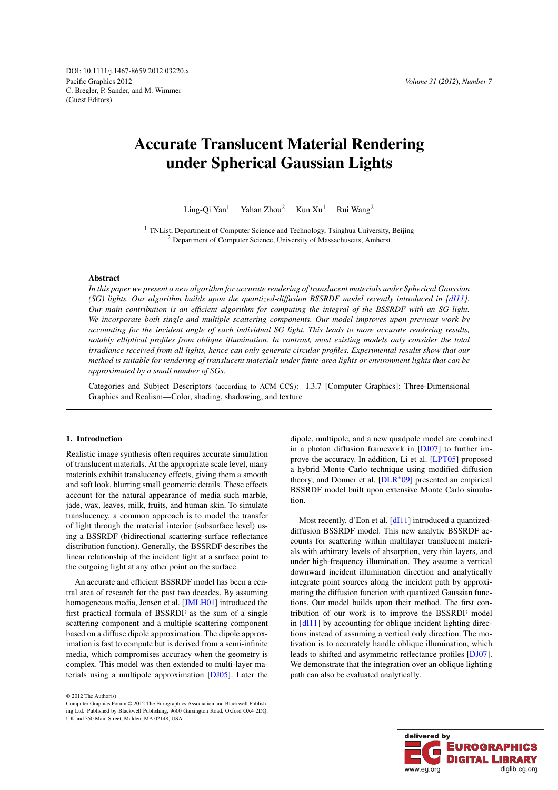Pacific Graphics 2012 C. Bregler, P. Sander, and M. Wimmer (Guest Editors) DOI: 10.1111/j.1467-8659.2012.03220.x

# Accurate Translucent Material Rendering under Spherical Gaussian Lights

Ling-Qi Yan<sup>1</sup> Yahan Zhou<sup>2</sup> Kun Xu<sup>1</sup> Rui Wang<sup>2</sup>

<sup>1</sup> TNList, Department of Computer Science and Technology, Tsinghua University, Beijing <sup>2</sup> Department of Computer Science, University of Massachusetts, Amherst

#### Abstract

*In this paper we present a new algorithm for accurate rendering of translucent materials under Spherical Gaussian (SG) lights. Our algorithm builds upon the quantized-diffusion BSSRDF model recently introduced in [\[dI11\]](#page-7-0). Our main contribution is an efficient algorithm for computing the integral of the BSSRDF with an SG light. We incorporate both single and multiple scattering components. Our model improves upon previous work by accounting for the incident angle of each individual SG light. This leads to more accurate rendering results, notably elliptical profiles from oblique illumination. In contrast, most existing models only consider the total irradiance received from all lights, hence can only generate circular profiles. Experimental results show that our method is suitable for rendering of translucent materials under finite-area lights or environment lights that can be approximated by a small number of SGs.*

Categories and Subject Descriptors (according to ACM CCS): I.3.7 [Computer Graphics]: Three-Dimensional Graphics and Realism—Color, shading, shadowing, and texture

#### 1. Introduction

Realistic image synthesis often requires accurate simulation of translucent materials. At the appropriate scale level, many materials exhibit translucency effects, giving them a smooth and soft look, blurring small geometric details. These effects account for the natural appearance of media such marble, jade, wax, leaves, milk, fruits, and human skin. To simulate translucency, a common approach is to model the transfer of light through the material interior (subsurface level) using a BSSRDF (bidirectional scattering-surface reflectance distribution function). Generally, the BSSRDF describes the linear relationship of the incident light at a surface point to the outgoing light at any other point on the surface.

An accurate and efficient BSSRDF model has been a central area of research for the past two decades. By assuming homogeneous media, Jensen et al. [\[JMLH01\]](#page-8-0) introduced the first practical formula of BSSRDF as the sum of a single scattering component and a multiple scattering component based on a diffuse dipole approximation. The dipole approximation is fast to compute but is derived from a semi-infinite media, which compromises accuracy when the geometry is complex. This model was then extended to multi-layer materials using a multipole approximation [\[DJ05\]](#page-7-1). Later the

© 2012 The Author(s)

dipole, multipole, and a new quadpole model are combined in a photon diffusion framework in [\[DJ07\]](#page-7-2) to further improve the accuracy. In addition, Li et al. [\[LPT05\]](#page-8-1) proposed a hybrid Monte Carlo technique using modified diffusion theory; and Donner et al. [\[DLR](#page-7-3)∗09] presented an empirical BSSRDF model built upon extensive Monte Carlo simulation.

Most recently, d'Eon et al. [\[dI11\]](#page-7-0) introduced a quantizeddiffusion BSSRDF model. This new analytic BSSRDF accounts for scattering within multilayer translucent materials with arbitrary levels of absorption, very thin layers, and under high-frequency illumination. They assume a vertical downward incident illumination direction and analytically integrate point sources along the incident path by approximating the diffusion function with quantized Gaussian functions. Our model builds upon their method. The first contribution of our work is to improve the BSSRDF model in [\[dI11\]](#page-7-0) by accounting for oblique incident lighting directions instead of assuming a vertical only direction. The motivation is to accurately handle oblique illumination, which leads to shifted and asymmetric reflectance profiles [\[DJ07\]](#page-7-2). We demonstrate that the integration over an oblique lighting path can also be evaluated analytically.



Computer Graphics Forum © 2012 The Eurographics Association and Blackwell Publishing Ltd. Published by Blackwell Publishing, 9600 Garsington Road, Oxford OX4 2DQ, UK and 350 Main Street, Malden, MA 02148, USA.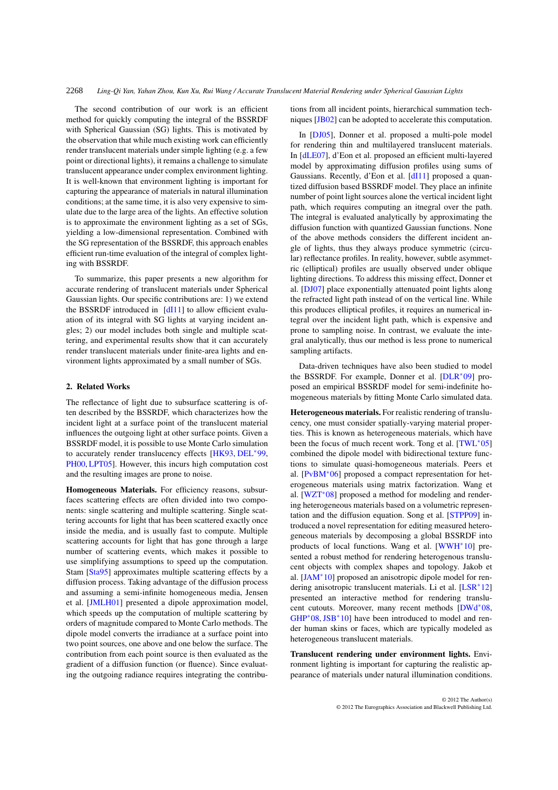The second contribution of our work is an efficient method for quickly computing the integral of the BSSRDF with Spherical Gaussian (SG) lights. This is motivated by the observation that while much existing work can efficiently render translucent materials under simple lighting (e.g. a few point or directional lights), it remains a challenge to simulate translucent appearance under complex environment lighting. It is well-known that environment lighting is important for capturing the appearance of materials in natural illumination conditions; at the same time, it is also very expensive to simulate due to the large area of the lights. An effective solution is to approximate the environment lighting as a set of SGs, yielding a low-dimensional representation. Combined with the SG representation of the BSSRDF, this approach enables efficient run-time evaluation of the integral of complex lighting with BSSRDF.

To summarize, this paper presents a new algorithm for accurate rendering of translucent materials under Spherical Gaussian lights. Our specific contributions are: 1) we extend the BSSRDF introduced in [\[dI11\]](#page-7-0) to allow efficient evaluation of its integral with SG lights at varying incident angles; 2) our model includes both single and multiple scattering, and experimental results show that it can accurately render translucent materials under finite-area lights and environment lights approximated by a small number of SGs.

## 2. Related Works

The reflectance of light due to subsurface scattering is often described by the BSSRDF, which characterizes how the incident light at a surface point of the translucent material influences the outgoing light at other surface points. Given a BSSRDF model, it is possible to use Monte Carlo simulation to accurately render translucency effects [\[HK93,](#page-7-4) [DEL](#page-7-5)∗99, [PH00,](#page-8-2) [LPT05\]](#page-8-1). However, this incurs high computation cost and the resulting images are prone to noise.

Homogeneous Materials. For efficiency reasons, subsurfaces scattering effects are often divided into two components: single scattering and multiple scattering. Single scattering accounts for light that has been scattered exactly once inside the media, and is usually fast to compute. Multiple scattering accounts for light that has gone through a large number of scattering events, which makes it possible to use simplifying assumptions to speed up the computation. Stam [\[Sta95\]](#page-8-3) approximates multiple scattering effects by a diffusion process. Taking advantage of the diffusion process and assuming a semi-infinite homogeneous media, Jensen et al. [\[JMLH01\]](#page-8-0) presented a dipole approximation model, which speeds up the computation of multiple scattering by orders of magnitude compared to Monte Carlo methods. The dipole model converts the irradiance at a surface point into two point sources, one above and one below the surface. The contribution from each point source is then evaluated as the gradient of a diffusion function (or fluence). Since evaluating the outgoing radiance requires integrating the contributions from all incident points, hierarchical summation techniques [\[JB02\]](#page-8-4) can be adopted to accelerate this computation.

In [\[DJ05\]](#page-7-1), Donner et al. proposed a multi-pole model for rendering thin and multilayered translucent materials. In [\[dLE07\]](#page-7-6), d'Eon et al. proposed an efficient multi-layered model by approximating diffusion profiles using sums of Gaussians. Recently, d'Eon et al. [\[dI11\]](#page-7-0) proposed a quantized diffusion based BSSRDF model. They place an infinite number of point light sources alone the vertical incident light path, which requires computing an itnegral over the path. The integral is evaluated analytically by approximating the diffusion function with quantized Gaussian functions. None of the above methods considers the different incident angle of lights, thus they always produce symmetric (circular) reflectance profiles. In reality, however, subtle asymmetric (elliptical) profiles are usually observed under oblique lighting directions. To address this missing effect, Donner et al. [\[DJ07\]](#page-7-2) place exponentially attenuated point lights along the refracted light path instead of on the vertical line. While this produces elliptical profiles, it requires an numerical integral over the incident light path, which is expensive and prone to sampling noise. In contrast, we evaluate the integral analytically, thus our method is less prone to numerical sampling artifacts.

Data-driven techniques have also been studied to model the BSSRDF. For example, Donner et al. [\[DLR](#page-7-3)∗09] proposed an empirical BSSRDF model for semi-indefinite homogeneous materials by fitting Monte Carlo simulated data.

Heterogeneous materials. For realistic rendering of translucency, one must consider spatially-varying material properties. This is known as heterogeneous materials, which have been the focus of much recent work. Tong et al. [\[TWL](#page-8-5)<sup>\*05]</sup> combined the dipole model with bidirectional texture functions to simulate quasi-homogeneous materials. Peers et al. [\[PvBM](#page-8-6)∗06] proposed a compact representation for heterogeneous materials using matrix factorization. Wang et al. [\[WZT](#page-8-7)∗08] proposed a method for modeling and rendering heterogeneous materials based on a volumetric representation and the diffusion equation. Song et al. [\[STPP09\]](#page-8-8) introduced a novel representation for editing measured heterogeneous materials by decomposing a global BSSRDF into products of local functions. Wang et al. [\[WWH](#page-8-9)<sup>∗10]</sup> presented a robust method for rendering heterogenous translucent objects with complex shapes and topology. Jakob et al. [\[JAM](#page-8-10)∗10] proposed an anisotropic dipole model for ren-dering anisotropic translucent materials. Li et al. [\[LSR](#page-8-11)<sup>∗</sup>12] presented an interactive method for rendering translucent cutouts. Moreover, many recent methods [\[DWd](#page-7-7)∗08, [GHP](#page-7-8)∗08,[JSB](#page-8-12)∗10] have been introduced to model and render human skins or faces, which are typically modeled as heterogeneous translucent materials.

Translucent rendering under environment lights. Environment lighting is important for capturing the realistic appearance of materials under natural illumination conditions.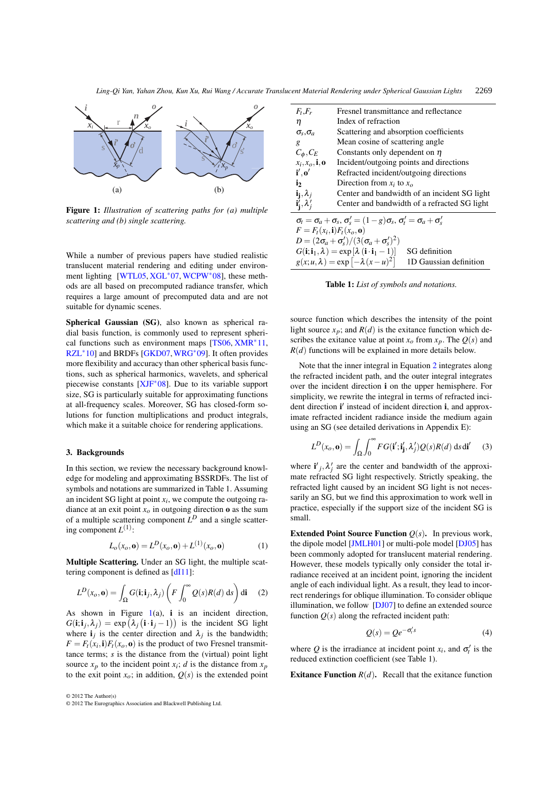<span id="page-2-0"></span>

Figure 1: *Illustration of scattering paths for (a) multiple scattering and (b) single scattering.*

While a number of previous papers have studied realistic translucent material rendering and editing under environment lighting [\[WTL05,](#page-8-13) [XGL](#page-8-14)∗07, [WCPW](#page-8-15)∗08], these methods are all based on precomputed radiance transfer, which requires a large amount of precomputed data and are not suitable for dynamic scenes.

Spherical Gaussian (SG), also known as spherical radial basis function, is commonly used to represent spherical functions such as environment maps [\[TS06,](#page-8-16) [XMR](#page-8-17)∗11, [RZL](#page-8-18)∗10] and BRDFs [\[GKD07,](#page-7-9)[WRG](#page-8-19)∗09]. It often provides more flexibility and accuracy than other spherical basis functions, such as spherical harmonics, wavelets, and spherical piecewise constants [\[XJF](#page-8-20)∗08]. Due to its variable support size, SG is particularly suitable for approximating functions at all-frequency scales. Moreover, SG has closed-form solutions for function multiplications and product integrals, which make it a suitable choice for rendering applications.

## 3. Backgrounds

In this section, we review the necessary background knowledge for modeling and approximating BSSRDFs. The list of symbols and notations are summarized in Table 1. Assuming an incident SG light at point *xi*, we compute the outgoing radiance at an exit point  $x<sub>o</sub>$  in outgoing direction **o** as the sum of a multiple scattering component *L<sup>D</sup>* and a single scattering component  $L^{(1)}$ :

<span id="page-2-1"></span>
$$
L_o(x_o, \mathbf{0}) = L^D(x_o, \mathbf{0}) + L^{(1)}(x_o, \mathbf{0})
$$
 (1)

Multiple Scattering. Under an SG light, the multiple scat-tering component is defined as [\[dI11\]](#page-7-0):

$$
L^{D}(x_o, \mathbf{0}) = \int_{\Omega} G(\mathbf{i}; \mathbf{i}_j, \lambda_j) \left( F \int_0^{\infty} Q(s) R(d) \, ds \right) d\mathbf{i} \tag{2}
$$

As shown in Figure  $1(a)$  $1(a)$ , i is an incident direction,  $G(i; i_j, \lambda_j) = \exp(\lambda_j(i \cdot i_j - 1))$  is the incident SG light where  $\mathbf{i}_i$  is the center direction and  $\lambda_i$  is the bandwidth;  $F = F_t(x_i, \mathbf{i}) F_t(x_0, \mathbf{o})$  is the product of two Fresnel transmittance terms; *s* is the distance from the (virtual) point light source  $x_p$  to the incident point  $x_i$ ; *d* is the distance from  $x_p$ to the exit point  $x_0$ ; in addition,  $Q(s)$  is the extended point



| $F_t$ , $F_r$                                                                                         | Fresnel transmittance and reflectance                                               |  |  |  |
|-------------------------------------------------------------------------------------------------------|-------------------------------------------------------------------------------------|--|--|--|
| η                                                                                                     | Index of refraction                                                                 |  |  |  |
| $\sigma_s$ , $\sigma_a$                                                                               | Scattering and absorption coefficients                                              |  |  |  |
| g                                                                                                     | Mean cosine of scattering angle                                                     |  |  |  |
| $C_{\phi}, C_{E}$                                                                                     | Constants only dependent on $\eta$                                                  |  |  |  |
| $x_i, x_o, \mathbf{i}, \mathbf{o}$                                                                    | Incident/outgoing points and directions                                             |  |  |  |
| $\mathbf{i}',\mathbf{o}'$                                                                             | Refracted incident/outgoing directions                                              |  |  |  |
| i <sub>2</sub>                                                                                        | Direction from $x_i$ to $x_o$                                                       |  |  |  |
| $\mathbf{i_j}, \lambda_j$                                                                             | Center and bandwidth of an incident SG light                                        |  |  |  |
| $\mathbf{i}'_{\mathbf{i}}, \lambda'_{\mathbf{i}}$                                                     | Center and bandwidth of a refracted SG light                                        |  |  |  |
| $\sigma_t = \sigma_a + \sigma_s$ , $\sigma_s' = (1 - g)\sigma_s$ , $\sigma_t' = \sigma_a + \sigma_s'$ |                                                                                     |  |  |  |
| $F = F_t(x_i, \mathbf{i}) F_t(x_o, \mathbf{o})$                                                       |                                                                                     |  |  |  |
| $D = (2\sigma_a + \sigma_s')/(3(\sigma_a + \sigma_s')^2)$                                             |                                                                                     |  |  |  |
| $G(i; i_1, \lambda) = \exp[\lambda (i \cdot i_1 - 1)]$<br>SG definition                               |                                                                                     |  |  |  |
|                                                                                                       | $g(x; u, \lambda) = \exp \left[-\lambda (x - u)^2\right]$<br>1D Gaussian definition |  |  |  |

Table 1: *List of symbols and notations.*

source function which describes the intensity of the point light source  $x_p$ ; and  $R(d)$  is the exitance function which describes the exitance value at point  $x_o$  from  $x_p$ . The  $Q(s)$  and *R*(*d*) functions will be explained in more details below.

Note that the inner integral in Equation [2](#page-2-1) integrates along the refracted incident path, and the outer integral integrates over the incident direction i on the upper hemisphere. For simplicity, we rewrite the integral in terms of refracted incident direction i' instead of incident direction i, and approximate refracted incident radiance inside the medium again using an SG (see detailed derivations in Appendix E):

<span id="page-2-2"></span>
$$
L^{D}(x_{o}, \mathbf{0}) = \int_{\Omega} \int_{0}^{\infty} FG(\mathbf{i}'; \mathbf{i}'_{\mathbf{j}}, \lambda'_{j}) Q(s) R(d) \, \mathrm{d} s \, \mathrm{d} \mathbf{i}' \qquad (3)
$$

where  $\mathbf{i}'_j, \lambda'_j$  are the center and bandwidth of the approximate refracted SG light respectively. Strictly speaking, the refracted light caused by an incident SG light is not necessarily an SG, but we find this approximation to work well in practice, especially if the support size of the incident SG is small.

**Extended Point Source Function**  $Q(s)$ **.** In previous work, the dipole model [\[JMLH01\]](#page-8-0) or multi-pole model [\[DJ05\]](#page-7-1) has been commonly adopted for translucent material rendering. However, these models typically only consider the total irradiance received at an incident point, ignoring the incident angle of each individual light. As a result, they lead to incorrect renderings for oblique illumination. To consider oblique illumination, we follow [\[DJ07\]](#page-7-2) to define an extended source function  $Q(s)$  along the refracted incident path:

$$
Q(s) = Qe^{-\sigma'_{i}s}
$$
 (4)

where Q is the irradiance at incident point  $x_i$ , and  $\sigma'_i$  is the reduced extinction coefficient (see Table 1).

**Exitance Function**  $R(d)$ . Recall that the exitance function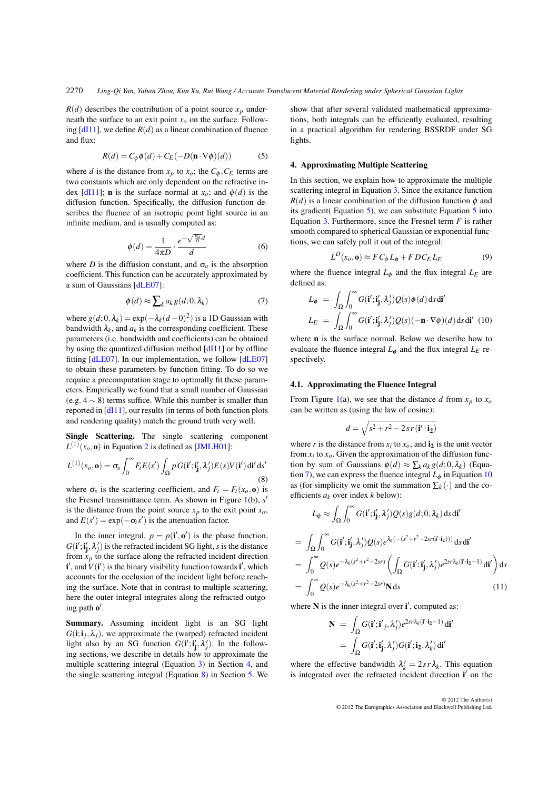<span id="page-3-2"></span> $R(d)$  describes the contribution of a point source  $x_p$  underneath the surface to an exit point  $x<sub>o</sub>$  on the surface. Following  $[d11]$ , we define  $R(d)$  as a linear combination of fluence and flux:

$$
R(d) = C_{\phi} \phi(d) + C_{E}(-D(\mathbf{n} \cdot \nabla \phi)(d))
$$
 (5)

where *d* is the distance from  $x_p$  to  $x_o$ ; the  $C_\phi$ ,  $C_E$  terms are two constants which are only dependent on the refractive index  $[d11]$ ; **n** is the surface normal at  $x<sub>o</sub>$ ; and  $\phi(d)$  is the diffusion function. Specifically, the diffusion function describes the fluence of an isotropic point light source in an infinite medium, and is usually computed as:

<span id="page-3-3"></span>
$$
\phi(d) = \frac{1}{4\pi D} \cdot \frac{e^{-\sqrt{\frac{\sigma_a}{D}}d}}{d}
$$
\n(6)

where *D* is the diffusion constant, and  $\sigma_a$  is the absorption coefficient. This function can be accurately approximated by a sum of Gaussians [\[dLE07\]](#page-7-6):

$$
\phi(d) \approx \sum_{k} a_{k} g(d; 0, \lambda_{k}) \tag{7}
$$

where  $g(d; 0, \lambda_k) = \exp(-\lambda_k(d-0)^2)$  is a 1D Gaussian with bandwidth  $\lambda_k$ , and  $a_k$  is the corresponding coefficient. These parameters (i.e. bandwidth and coefficients) can be obtained by using the quantized diffusion method [\[dI11\]](#page-7-0) or by offline fitting [\[dLE07\]](#page-7-6). In our implementation, we follow [\[dLE07\]](#page-7-6) to obtain these parameters by function fitting. To do so we require a precomputation stage to optimally fit these parameters. Empirically we found that a small number of Gaussian (e.g.  $4 \sim 8$ ) terms suffice. While this number is smaller than reported in [\[dI11\]](#page-7-0), our results (in terms of both function plots and rendering quality) match the ground truth very well.

Single Scattering. The single scattering component  $L^{(1)}(x_0, \mathbf{0})$  in Equation [2](#page-2-1) is defined as [\[JMLH01\]](#page-8-0):

$$
L^{(1)}(x_o, \mathbf{0}) = \sigma_s \int_0^\infty F_t E(s') \int_{\Omega} p G(\mathbf{i}'; \mathbf{i}'_{\mathbf{j}}, \lambda'_j) E(s) V(\mathbf{i}') \, \mathbf{d}\mathbf{i}' \, \mathbf{d}s'
$$
\n(8)

where  $\sigma_s$  is the scattering coefficient, and  $F_t = F_t(x_0, \mathbf{0})$  is the Fresnel transmittance term. As shown in Figure [1\(](#page-2-0)b),  $s'$ is the distance from the point source  $x_p$  to the exit point  $x_q$ , and  $E(s') = \exp(-\sigma_t s')$  is the attenuation factor.

In the inner integral,  $p = p(i', \mathbf{o}')$  is the phase function,  $G(i'; i'_{j}, \lambda'_{j})$  is the refracted incident SG light, *s* is the distance from  $x_p$  to the surface along the refracted incident direction  $\mathbf{i}'$ , and  $V(\mathbf{i}')$  is the binary visibility function towards  $\mathbf{i}'$ , which accounts for the occlusion of the incident light before reaching the surface. Note that in contrast to multiple scattering, here the outer integral integrates along the refracted outgoing path  $o'$ .

Summary. Assuming incident light is an SG light  $G(i; i<sub>i</sub>, \lambda<sub>i</sub>)$ , we approximate the (warped) refracted incident light also by an SG function  $G(i'; i'_j, \lambda'_j)$ . In the following sections, we describe in details how to approximate the multiple scattering integral (Equation [3\)](#page-2-2) in Section [4,](#page-3-0) and the single scattering integral (Equation [8\)](#page-3-1) in Section [5.](#page-5-0) We <span id="page-3-0"></span>show that after several validated mathematical approximations, both integrals can be efficiently evaluated, resulting in a practical algorithm for rendering BSSRDF under SG lights.

## 4. Approximating Multiple Scattering

In this section, we explain how to approximate the multiple scattering integral in Equation [3.](#page-2-2) Since the exitance function  $R(d)$  is a linear combination of the diffusion function  $\phi$  and its gradient( Equation [5\)](#page-3-2), we can substitute Equation [5](#page-3-2) into Equation [3.](#page-2-2) Furthermore, since the Fresnel term *F* is rather smooth compared to spherical Gaussian or exponential functions, we can safely pull it out of the integral:

<span id="page-3-7"></span>
$$
L^D(x_o, \mathbf{0}) \approx F C_\phi L_\phi + F D C_E L_E \tag{9}
$$

where the fluence integral  $L_{\phi}$  and the flux integral  $L_E$  are defined as:

<span id="page-3-4"></span>
$$
L_{\phi} = \int_{\Omega} \int_0^{\infty} G(\mathbf{i}'; \mathbf{i}'_j, \lambda'_j) Q(s) \phi(d) \, \mathrm{d} s \, \mathrm{d} \mathbf{i}'
$$

$$
L_E = \int_{\Omega} \int_0^{\infty} G(\mathbf{i}'; \mathbf{i}'_j, \lambda'_j) Q(s) (-\mathbf{n} \cdot \nabla \phi)(d) \, \mathrm{d} s \, \mathrm{d} \mathbf{i}' \tag{10}
$$

where n is the surface normal. Below we describe how to evaluate the fluence integral  $L_{\phi}$  and the flux integral  $L_E$  respectively.

## 4.1. Approximating the Fluence Integral

<span id="page-3-1"></span>From Figure [1\(](#page-2-0)a), we see that the distance  $d$  from  $x_p$  to  $x_o$ can be written as (using the law of cosine):

<span id="page-3-6"></span>
$$
d = \sqrt{s^2 + r^2 - 2sr(\mathbf{i}' \cdot \mathbf{i_2})}
$$

where *r* is the distance from  $x_i$  to  $x_o$ , and  $i_2$  is the unit vector from  $x_i$  to  $x_o$ . Given the approximation of the diffusion function by sum of Gaussians  $\phi(d) \approx \sum_k a_k g(d; 0, \lambda_k)$  (Equa-tion [7\)](#page-3-3), we can express the fluence integral  $L_{\phi}$  in Equation [10](#page-3-4) as (for simplicity we omit the summation  $\sum_k (\cdot)$  and the coefficients *ak* over index *k* below):

$$
L_{\phi} \approx \int_{\Omega} \int_0^{\infty} G(\mathbf{i}'; \mathbf{i}'_j, \lambda'_j) Q(s) g(d; 0, \lambda_k) \, \mathrm{d} s \, \mathrm{d} \mathbf{i}'
$$
\n
$$
= \int_{\Omega} \int_0^{\infty} G(\mathbf{i}'; \mathbf{i}'_j, \lambda'_j) Q(s) e^{\lambda_k (-(s^2+r^2-2sr(\mathbf{i}'; \mathbf{i}_2)))} \, \mathrm{d} s \, \mathrm{d} \mathbf{i}'
$$
\n
$$
= \int_0^{\infty} Q(s) e^{-\lambda_k (s^2+r^2-2sr)} \left( \int_{\Omega} G(\mathbf{i}'; \mathbf{i}'_j, \lambda'_j) e^{2sr\lambda_k (\mathbf{i}' \cdot \mathbf{i}_2 - 1)} \, \mathrm{d} \mathbf{i}' \right) \mathrm{d} s
$$
\n
$$
= \int_0^{\infty} Q(s) e^{-\lambda_k (s^2+r^2-2sr)} \mathbf{N} \mathrm{d} s \tag{11}
$$

where  $N$  is the inner integral over  $i'$ , computed as:

<span id="page-3-5"></span>
$$
\mathbf{N} = \int_{\Omega} G(\mathbf{i}'; \mathbf{i}'_j, \lambda'_j) e^{2s r \lambda_k (\mathbf{i}' \cdot \mathbf{i}_2 - 1)} d\mathbf{i}'
$$

$$
= \int_{\Omega} G(\mathbf{i}'; \mathbf{i}'_j, \lambda'_j) G(\mathbf{i}'; \mathbf{i}_2, \lambda'_k) d\mathbf{i}'
$$

where the effective bandwidth  $\lambda'_k = 2sr\lambda_k$ . This equation is integrated over the refracted incident direction i' on the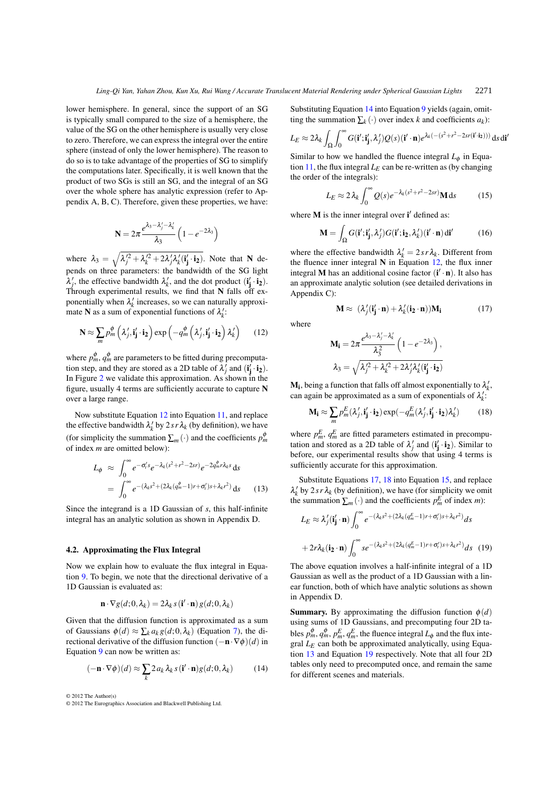lower hemisphere. In general, since the support of an SG is typically small compared to the size of a hemisphere, the value of the SG on the other hemisphere is usually very close to zero. Therefore, we can express the integral over the entire sphere (instead of only the lower hemisphere). The reason to do so is to take advantage of the properties of SG to simplify the computations later. Specifically, it is well known that the product of two SGs is still an SG, and the integral of an SG over the whole sphere has analytic expression (refer to Appendix A, B, C). Therefore, given these properties, we have:

$$
N = 2\pi \frac{e^{\lambda_3 - \lambda'_j - \lambda'_k}}{\lambda_3} \left(1 - e^{-2\lambda_3}\right)
$$

where  $\lambda_3 = \sqrt{\lambda_j'^2 + \lambda_k'^2 + 2\lambda_j'\lambda_k'(i'_j \cdot i_2)}$ . Note that N depends on three parameters: the bandwidth of the SG light  $\lambda'_j$ , the effective bandwidth  $\lambda'_k$ , and the dot product  $(i'_j \cdot i_2)$ . Through experimental results, we find that N falls off exponentially when  $\lambda_k$  increases, so we can naturally approximate **N** as a sum of exponential functions of  $\lambda_k$ :

$$
\mathbf{N} \approx \sum_{m} p_{m}^{\phi} \left( \lambda_{j}^{\prime}, \mathbf{i}_{\mathbf{j}}^{\prime} \cdot \mathbf{i}_{\mathbf{2}} \right) \exp \left( -q_{m}^{\phi} \left( \lambda_{j}^{\prime}, \mathbf{i}_{\mathbf{j}}^{\prime} \cdot \mathbf{i}_{\mathbf{2}} \right) \lambda_{k}^{\prime} \right) \tag{12}
$$

where  $p_m^{\phi}$ ,  $q_m^{\phi}$  are parameters to be fitted during precomputation step, and they are stored as a 2D table of  $\lambda_j^j$  and  $(i'_j \cdot i_2)$ . In Figure [2](#page-5-1) we validate this approximation. As shown in the figure, usually 4 terms are sufficiently accurate to capture N over a large range.

Now substitute Equation [12](#page-3-5) into Equation [11,](#page-3-6) and replace the effective bandwidth  $\lambda'_k$  by  $2sr\lambda_k$  (by definition), we have (for simplicity the summation  $\sum_{m}(\cdot)$  and the coefficients  $p_m^{\phi}$ of index *m* are omitted below):

<span id="page-4-4"></span>
$$
L_{\phi} \approx \int_0^{\infty} e^{-\sigma_t' s} e^{-\lambda_k (s^2 + r^2 - 2sr)} e^{-2q_m^{\phi} r \lambda_k s} ds
$$
  
= 
$$
\int_0^{\infty} e^{-(\lambda_k s^2 + (2\lambda_k (q_m^{\phi} - 1)r + \sigma_t') s + \lambda_k r^2)} ds
$$
 (13)

Since the integrand is a 1D Gaussian of *s*, this half-infinite integral has an analytic solution as shown in Appendix D.

## 4.2. Approximating the Flux Integral

Now we explain how to evaluate the flux integral in Equation [9.](#page-3-7) To begin, we note that the directional derivative of a 1D Gaussian is evaluated as:

<span id="page-4-0"></span>
$$
\mathbf{n} \cdot \nabla g(d; 0, \lambda_k) = 2\lambda_k s(\mathbf{i}' \cdot \mathbf{n}) g(d; 0, \lambda_k)
$$

Given that the diffusion function is approximated as a sum of Gaussians  $\phi(d) \approx \sum_k a_k g(d; 0, \lambda_k)$  (Equation [7\)](#page-3-3), the directional derivative of the diffusion function (−n·∇φ)(*d*) in Equation [9](#page-3-7) can now be written as:

$$
(-\mathbf{n} \cdot \nabla \phi)(d) \approx \sum_{k} 2 a_{k} \lambda_{k} s (\mathbf{i}' \cdot \mathbf{n}) g(d; 0, \lambda_{k})
$$
 (14)

© 2012 The Author(s)

<span id="page-4-3"></span>Substituting Equation [14](#page-4-0) into Equation [9](#page-3-7) yields (again, omitting the summation  $\sum_k (\cdot)$  over index *k* and coefficients  $a_k$ ):

$$
L_E \approx 2\lambda_k \int_{\Omega} \int_0^{\infty} G(\mathbf{i}'; \mathbf{i}'_{\mathbf{j}}, \lambda'_j) Q(s) (\mathbf{i}' \cdot \mathbf{n}) e^{\lambda_k (-(s^2+r^2-2sr(\mathbf{i}'; \mathbf{i}_2)))} ds d\mathbf{i}'
$$

Similar to how we handled the fluence integral  $L_{\phi}$  in Equa-tion [11,](#page-3-6) the flux integral  $L_E$  can be re-written as (by changing the order of the integrals):

$$
L_E \approx 2\lambda_k \int_0^\infty Q(s)e^{-\lambda_k(s^2 + r^2 - 2sr)} \mathbf{M} \, \mathrm{d}s \tag{15}
$$

where  $M$  is the inner integral over  $i'$  defined as:

<span id="page-4-6"></span>
$$
\mathbf{M} = \int_{\Omega} G(\mathbf{i}'; \mathbf{i}'_j, \lambda'_j) G(\mathbf{i}'; \mathbf{i}_2, \lambda'_k) (\mathbf{i}' \cdot \mathbf{n}) \, \mathrm{d}\mathbf{i}' \tag{16}
$$

where the effective bandwidth  $\lambda'_k = 2sr\lambda_k$ . Different from the fluence inner integral  $N$  in Equation [12,](#page-3-5) the flux inner integral M has an additional cosine factor  $(i' \cdot n)$ . It also has an approximate analytic solution (see detailed derivations in Appendix C):

<span id="page-4-1"></span>
$$
\mathbf{M} \approx (\lambda_j'(\mathbf{i}_\mathbf{j}' \cdot \mathbf{n}) + \lambda_k'(\mathbf{i}_\mathbf{2} \cdot \mathbf{n})) \mathbf{M}_\mathbf{i}
$$
 (17)

where

<span id="page-4-2"></span>
$$
\begin{aligned} \mathbf{M_i} &= 2\pi \frac{e^{\lambda_3 - \lambda_j' - \lambda_k'}}{\lambda_3^2} \left(1 - e^{-2\lambda_3}\right), \\ \lambda_3 &= \sqrt{\lambda_j'^2 + \lambda_k'^2 + 2\lambda_j'\lambda_k'(\mathbf{i_j'}\cdot\mathbf{i_2})} \end{aligned}
$$

 $M_i$ , being a function that falls off almost exponentially to  $\lambda'_k$ , can again be approximated as a sum of exponentials of  $\lambda_k'$ :

$$
\mathbf{M_i} \approx \sum_m p_m^E(\lambda'_j, \mathbf{i'_j} \cdot \mathbf{i_2}) \exp(-q_m^E(\lambda'_j, \mathbf{i'_j} \cdot \mathbf{i_2}) \lambda'_k)
$$
(18)

where  $p_m^E$ ,  $q_m^E$  are fitted parameters estimated in precomputation and stored as a 2D table of  $\lambda'_j$  and  $(i'_j \cdot i_2)$ . Similar to before, our experimental results show that using 4 terms is sufficiently accurate for this approximation.

Substitute Equations [17,](#page-4-1) [18](#page-4-2) into Equation [15,](#page-4-3) and replace  $\lambda_k'$  by 2*s r* $\lambda_k$  (by definition), we have (for simplicity we omit the summation  $\sum_{m}(\cdot)$  and the coefficients  $p_m^E$  of index *m*):

<span id="page-4-5"></span>
$$
L_E \approx \lambda_j' (\mathbf{i}_\mathbf{j}' \cdot \mathbf{n}) \int_0^\infty e^{-(\lambda_k s^2 + (2\lambda_k (q_m^E - 1)r + \sigma_l')s + \lambda_k r^2)} ds
$$

$$
+ 2r\lambda_k (\mathbf{i}_2 \cdot \mathbf{n}) \int_0^\infty s e^{-(\lambda_k s^2 + (2\lambda_k (q_m^E - 1)r + \sigma_l')s + \lambda_k r^2)} ds \quad (19)
$$

The above equation involves a half-infinite integral of a 1D Gaussian as well as the product of a 1D Gaussian with a linear function, both of which have analytic solutions as shown in Appendix D.

**Summary.** By approximating the diffusion function  $\phi(d)$ using sums of 1D Gaussians, and precomputing four 2D tables  $p_m^{\phi}, q_m^{\phi}, p_m^E, q_m^E$ , the fluence integral  $L_{\phi}$  and the flux integral  $L<sub>E</sub>$  can both be approximated analytically, using Equation [13](#page-4-4) and Equation [19](#page-4-5) respectively. Note that all four 2D tables only need to precomputed once, and remain the same for different scenes and materials.

<sup>© 2012</sup> The Eurographics Association and Blackwell Publishing Ltd.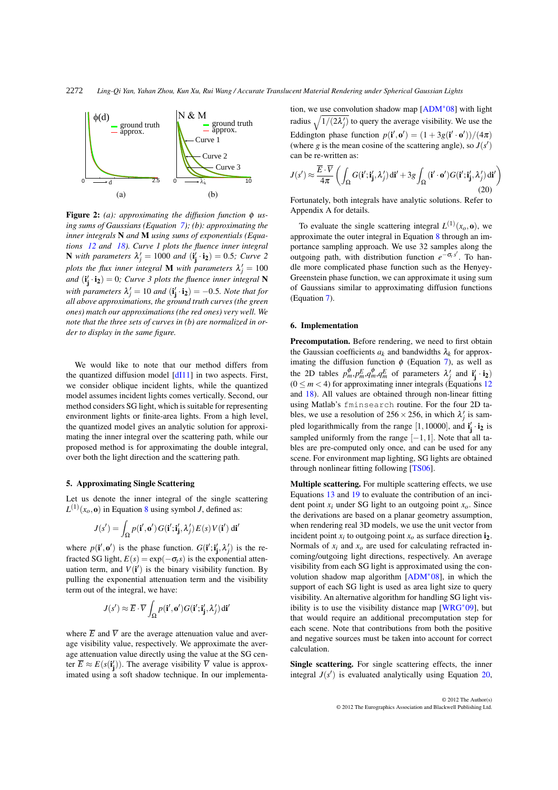<span id="page-5-1"></span>

Figure 2: *(a): approximating the diffusion function* φ *using sums of Gaussians (Equation [7\)](#page-3-3); (b): approximating the inner integrals* N *and* M *using sums of exponentials (Equations [12](#page-3-5) and [18\)](#page-4-2). Curve 1 plots the fluence inner integral* **N** with parameters  $\lambda'_j = 1000$  and  $(\mathbf{i}'_j \cdot \mathbf{i}_2) = 0.5$ ; Curve 2 *plots the flux inner integral* **M** *with parameters*  $\lambda'_j = 100$ and  $(i'_j \cdot i_2) = 0$ ; *Curve 3 plots the fluence inner integral* **N** with parameters  $\lambda'_j = 10$  and  $(i'_j \cdot i_2) = -0.5$ *. Note that for all above approximations, the ground truth curves (the green ones) match our approximations (the red ones) very well. We note that the three sets of curves in (b) are normalized in order to display in the same figure.*

We would like to note that our method differs from the quantized diffusion model [\[dI11\]](#page-7-0) in two aspects. First, we consider oblique incident lights, while the quantized model assumes incident lights comes vertically. Second, our method considers SG light, which is suitable for representing environment lights or finite-area lights. From a high level, the quantized model gives an analytic solution for approximating the inner integral over the scattering path, while our proposed method is for approximating the double integral, over both the light direction and the scattering path.

#### <span id="page-5-0"></span>5. Approximating Single Scattering

Let us denote the inner integral of the single scattering  $L^{(1)}(x_o, \mathbf{o})$  in Equation [8](#page-3-1) using symbol *J*, defined as:

$$
J(s') = \int_{\Omega} p(\mathbf{i}', \mathbf{o}') G(\mathbf{i}'; \mathbf{i}'_{\mathbf{j}}, \lambda'_j) E(s) V(\mathbf{i}') \, \mathrm{d}\mathbf{i}'
$$

where  $p(\mathbf{i}', \mathbf{o}')$  is the phase function.  $G(\mathbf{i}'; \mathbf{i}'_{\mathbf{j}}, \lambda'_j)$  is the refracted SG light,  $E(s) = \exp(-\sigma_t s)$  is the exponential attenuation term, and  $V(i')$  is the binary visibility function. By pulling the exponential attenuation term and the visibility term out of the integral, we have:

$$
J(s') \approx \overline{E} \cdot \overline{V} \int_{\Omega} p(\mathbf{i}', \mathbf{o}') G(\mathbf{i}'; \mathbf{i}'_{\mathbf{j}}, \lambda'_j) \, \mathrm{d}\mathbf{i}'
$$

where  $\overline{E}$  and  $\overline{V}$  are the average attenuation value and average visibility value, respectively. We approximate the average attenuation value directly using the value at the SG center  $\overline{E} \approx E(s(\mathbf{i}'_{\mathbf{j}}))$ . The average visibility  $\overline{V}$  value is approximated using a soft shadow technique. In our implementation, we use convolution shadow map [\[ADM](#page-7-10)∗08] with light radius  $\sqrt{1/(2\lambda_j')}$  to query the average visibility. We use the Eddington phase function  $p(\mathbf{i}', \mathbf{o}') = (1 + 3g(\mathbf{i}' \cdot \mathbf{o}'))/(4\pi)$ (where *g* is the mean cosine of the scattering angle), so  $J(s')$ can be re-written as:

$$
J(s') \approx \frac{\overline{E} \cdot \overline{V}}{4\pi} \left( \int_{\Omega} G(\mathbf{i}'; \mathbf{i}'_{\mathbf{j}}, \lambda'_j) \, \mathrm{d}\mathbf{i}' + 3g \int_{\Omega} (\mathbf{i}' \cdot \mathbf{o}') G(\mathbf{i}'; \mathbf{i}'_{\mathbf{j}}, \lambda'_j) \, \mathrm{d}\mathbf{i}' \right)
$$
(20)

Fortunately, both integrals have analytic solutions. Refer to Appendix A for details.

To evaluate the single scattering integral  $L^{(1)}(x_0, \mathbf{0})$ , we approximate the outer integral in Equation [8](#page-3-1) through an importance sampling approach. We use 32 samples along the outgoing path, with distribution function  $e^{-\sigma_t s'}$ . To handle more complicated phase function such as the Henyey-Greenstein phase function, we can approximate it using sum of Gaussians similar to approximating diffusion functions (Equation [7\)](#page-3-3).

## 6. Implementation

Precomputation. Before rendering, we need to first obtain the Gaussian coefficients  $a_k$  and bandwidths  $\lambda_k$  for approximating the diffusion function  $\phi$  (Equation [7\)](#page-3-3), as well as the 2D tables  $p_m^{\phi}$ ,  $p_m^E$ ,  $q_m^{\phi}$ ,  $q_m^E$  of parameters  $\lambda'_j$  and  $\mathbf{i}'_j \cdot \mathbf{i}_2$ )  $(0 \le m < 4)$  for approximating inner integrals (Equations [12](#page-3-5)) and [18\)](#page-4-2). All values are obtained through non-linear fitting using Matlab's fminsearch routine. For the four 2D tables, we use a resolution of  $256 \times 256$ , in which  $\lambda'_j$  is sampled logarithmically from the range [1, 10000], and  $\mathbf{i}'_j \cdot \mathbf{i}_2$  is sampled uniformly from the range  $[-1,1]$ . Note that all tables are pre-computed only once, and can be used for any scene. For environment map lighting, SG lights are obtained through nonlinear fitting following [\[TS06\]](#page-8-16).

<span id="page-5-2"></span>Multiple scattering. For multiple scattering effects, we use Equations [13](#page-4-4) and [19](#page-4-5) to evaluate the contribution of an incident point  $x_i$  under SG light to an outgoing point  $x_o$ . Since the derivations are based on a planar geometry assumption, when rendering real 3D models, we use the unit vector from incident point  $x_i$  to outgoing point  $x_o$  as surface direction  $\mathbf{i}_2$ . Normals of  $x_i$  and  $x_o$  are used for calculating refracted incoming/outgoing light directions, respectively. An average visibility from each SG light is approximated using the convolution shadow map algorithm [\[ADM](#page-7-10)∗08], in which the support of each SG light is used as area light size to query visibility. An alternative algorithm for handling SG light visibility is to use the visibility distance map [\[WRG](#page-8-19)∗09], but that would require an additional precomputation step for each scene. Note that contributions from both the positive and negative sources must be taken into account for correct calculation.

Single scattering. For single scattering effects, the inner integral  $J(s')$  is evaluated analytically using Equation [20,](#page-5-2)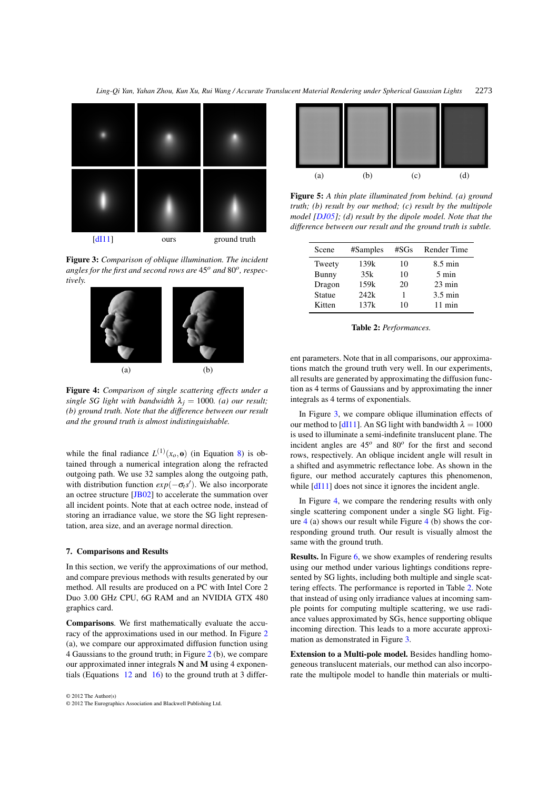<span id="page-6-0"></span>

Figure 3: *Comparison of oblique illumination. The incident angles for the first and second rows are* 45*<sup>o</sup> and* 80*o, respectively.*



Figure 4: *Comparison of single scattering effects under a single SG light with bandwidth*  $\lambda_j = 1000$ *. (a) our result; (b) ground truth. Note that the difference between our result and the ground truth is almost indistinguishable.*

while the final radiance  $L^{(1)}(x_o, \mathbf{o})$  (in Equation [8\)](#page-3-1) is obtained through a numerical integration along the refracted outgoing path. We use 32 samples along the outgoing path, with distribution function  $exp(-\sigma_t s')$ . We also incorporate an octree structure [\[JB02\]](#page-8-4) to accelerate the summation over all incident points. Note that at each octree node, instead of storing an irradiance value, we store the SG light representation, area size, and an average normal direction.

## 7. Comparisons and Results

In this section, we verify the approximations of our method, and compare previous methods with results generated by our method. All results are produced on a PC with Intel Core 2 Duo 3.00 GHz CPU, 6G RAM and an NVIDIA GTX 480 graphics card.

Comparisons. We first mathematically evaluate the accuracy of the approximations used in our method. In Figure [2](#page-5-1) (a), we compare our approximated diffusion function using 4 Gaussians to the ground truth; in Figure [2](#page-5-1) (b), we compare our approximated inner integrals N and M using 4 exponentials (Equations [12](#page-3-5) and [16\)](#page-4-6) to the ground truth at 3 differ-

© 2012 The Author(s) © 2012 The Eurographics Association and Blackwell Publishing Ltd.

<span id="page-6-2"></span>

<span id="page-6-1"></span>Figure 5: *A thin plate illuminated from behind. (a) ground truth; (b) result by our method; (c) result by the multipole model [\[DJ05\]](#page-7-1); (d) result by the dipole model. Note that the difference between our result and the ground truth is subtle.*

| Scene         | #Samples | #SGs | Render Time       |
|---------------|----------|------|-------------------|
| Tweety        | 139k     | 10   | $8.5 \text{ min}$ |
| <b>Bunny</b>  | 35k      | 10   | $5 \text{ min}$   |
| Dragon        | 159k     | 20   | $23 \text{ min}$  |
| <b>Statue</b> | 242k     |      | $3.5 \text{ min}$ |
| Kitten        | 137k     | 10   | $11 \text{ min}$  |

Table 2: *Performances.*

ent parameters. Note that in all comparisons, our approximations match the ground truth very well. In our experiments, all results are generated by approximating the diffusion function as 4 terms of Gaussians and by approximating the inner integrals as 4 terms of exponentials.

In Figure [3,](#page-6-0) we compare oblique illumination effects of our method to [\[dI11\]](#page-7-0). An SG light with bandwidth  $\lambda = 1000$ is used to illuminate a semi-indefinite translucent plane. The incident angles are 45*<sup>o</sup>* and 80*<sup>o</sup>* for the first and second rows, respectively. An oblique incident angle will result in a shifted and asymmetric reflectance lobe. As shown in the figure, our method accurately captures this phenomenon, while  $[d111]$  does not since it ignores the incident angle.

In Figure [4,](#page-6-0) we compare the rendering results with only single scattering component under a single SG light. Figure [4](#page-6-0) (a) shows our result while Figure [4](#page-6-0) (b) shows the corresponding ground truth. Our result is visually almost the same with the ground truth.

Results. In Figure [6,](#page-7-11) we show examples of rendering results using our method under various lightings conditions represented by SG lights, including both multiple and single scattering effects. The performance is reported in Table [2.](#page-6-1) Note that instead of using only irradiance values at incoming sample points for computing multiple scattering, we use radiance values approximated by SGs, hence supporting oblique incoming direction. This leads to a more accurate approximation as demonstrated in Figure [3.](#page-6-0)

Extension to a Multi-pole model. Besides handling homogeneous translucent materials, our method can also incorporate the multipole model to handle thin materials or multi-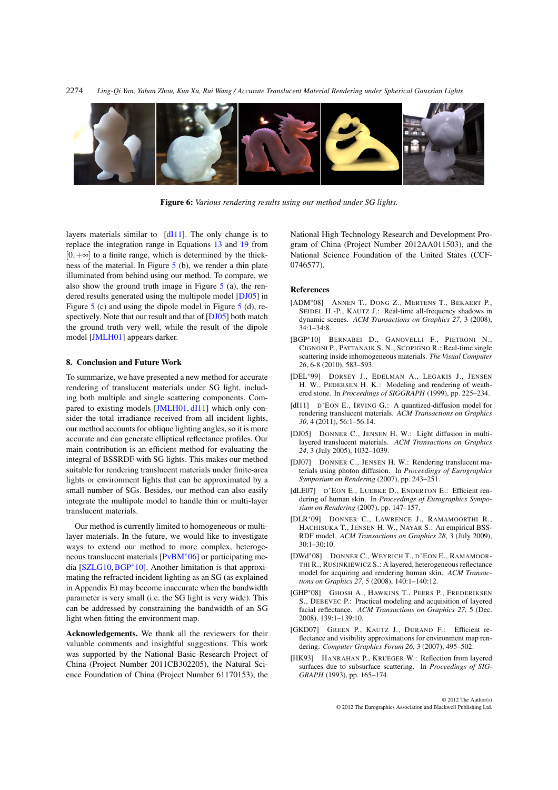<span id="page-7-11"></span>*Ling-Qi Yan, Yahan Zhou, Kun Xu, Rui Wang / Accurate Translucent Material Rendering under Spherical Gaussian Lights* 2274



Figure 6: *Various rendering results using our method under SG lights.*

layers materials similar to  $\left[ \frac{dI}{11} \right]$ . The only change is to replace the integration range in Equations [13](#page-4-4) and [19](#page-4-5) from  $[0,+\infty]$  to a finite range, which is determined by the thickness of the material. In Figure [5](#page-6-2) (b), we render a thin plate illuminated from behind using our method. To compare, we also show the ground truth image in Figure  $5$  (a), the rendered results generated using the multipole model [\[DJ05\]](#page-7-1) in Figure [5](#page-6-2) (c) and using the dipole model in Figure [5](#page-6-2) (d), respectively. Note that our result and that of [\[DJ05\]](#page-7-1) both match the ground truth very well, while the result of the dipole model [\[JMLH01\]](#page-8-0) appears darker.

#### 8. Conclusion and Future Work

To summarize, we have presented a new method for accurate rendering of translucent materials under SG light, including both multiple and single scattering components. Compared to existing models [\[JMLH01,](#page-8-0) [dI11\]](#page-7-0) which only consider the total irradiance received from all incident lights, our method accounts for oblique lighting angles, so it is more accurate and can generate elliptical reflectance profiles. Our main contribution is an efficient method for evaluating the integral of BSSRDF with SG lights. This makes our method suitable for rendering translucent materials under finite-area lights or environment lights that can be approximated by a small number of SGs. Besides, our method can also easily integrate the multipole model to handle thin or multi-layer translucent materials.

Our method is currently limited to homogeneous or multilayer materials. In the future, we would like to investigate ways to extend our method to more complex, heterogeneous translucent materials [\[PvBM](#page-8-6)∗06] or participating media [\[SZLG10,](#page-8-21) [BGP](#page-7-12)∗10]. Another limitation is that approximating the refracted incident lighting as an SG (as explained in Appendix E) may become inaccurate when the bandwidth parameter is very small (i.e. the SG light is very wide). This can be addressed by constraining the bandwidth of an SG light when fitting the environment map.

Acknowledgements. We thank all the reviewers for their valuable comments and insightful suggestions. This work was supported by the National Basic Research Project of China (Project Number 2011CB302205), the Natural Science Foundation of China (Project Number 61170153), the

National High Technology Research and Development Program of China (Project Number 2012AA011503), and the National Science Foundation of the United States (CCF-0746577).

#### <span id="page-7-10"></span>References

- <span id="page-7-12"></span>[ADM∗08] ANNEN T., DONG Z., MERTENS T., BEKAERT P., SEIDEL H.-P., KAUTZ J.: Real-time all-frequency shadows in dynamic scenes. *ACM Transactions on Graphics 27*, 3 (2008), 34:1–34:8.
- <span id="page-7-5"></span>[BGP∗10] BERNABEI D., GANOVELLI F., PIETRONI N., CIGNONI P., PATTANAIK S. N., SCOPIGNO R.: Real-time single scattering inside inhomogeneous materials. *The Visual Computer 26*, 6-8 (2010), 583–593.
- <span id="page-7-0"></span>[DEL∗99] DORSEY J., EDELMAN A., LEGAKIS J., JENSEN H. W., PEDERSEN H. K.: Modeling and rendering of weathered stone. In *Proceedings of SIGGRAPH* (1999), pp. 225–234.
- <span id="page-7-1"></span>[dI11] D'EON E., IRVING G.: A quantized-diffusion model for rendering translucent materials. *ACM Transactions on Graphics 30*, 4 (2011), 56:1–56:14.
- <span id="page-7-2"></span>[DJ05] DONNER C., JENSEN H. W.: Light diffusion in multilayered translucent materials. *ACM Transactions on Graphics 24*, 3 (July 2005), 1032–1039.
- <span id="page-7-6"></span>[DJ07] DONNER C., JENSEN H. W.: Rendering translucent materials using photon diffusion. In *Proceedings of Eurographics Symposium on Rendering* (2007), pp. 243–251.
- <span id="page-7-3"></span>[dLE07] D'EON E., LUEBKE D., ENDERTON E.: Efficient rendering of human skin. In *Proceedings of Eurographics Symposium on Rendering* (2007), pp. 147–157.
- <span id="page-7-7"></span>[DLR∗09] DONNER C., LAWRENCE J., RAMAMOORTHI R., HACHISUKA T., JENSEN H. W., NAYAR S.: An empirical BSS-RDF model. *ACM Transactions on Graphics 28*, 3 (July 2009), 30:1–30:10.
- <span id="page-7-8"></span>[DWd∗08] DONNER C., WEYRICH T., D'EON E., RAMAMOOR-THI R., RUSINKIEWICZ S.: A layered, heterogeneous reflectance model for acquiring and rendering human skin. *ACM Transactions on Graphics 27*, 5 (2008), 140:1–140:12.
- <span id="page-7-9"></span>[GHP∗08] GHOSH A., HAWKINS T., PEERS P., FREDERIKSEN S., DEBEVEC P.: Practical modeling and acquisition of layered facial reflectance. *ACM Transactions on Graphics 27*, 5 (Dec. 2008), 139:1–139:10.
- <span id="page-7-4"></span>[GKD07] GREEN P., KAUTZ J., DURAND F.: Efficient reflectance and visibility approximations for environment map rendering. *Computer Graphics Forum 26*, 3 (2007), 495–502.
- [HK93] HANRAHAN P., KRUEGER W.: Reflection from layered surfaces due to subsurface scattering. In *Proceedings of SIG-GRAPH* (1993), pp. 165–174.

© 2012 The Author(s) © 2012 The Eurographics Association and Blackwell Publishing Ltd.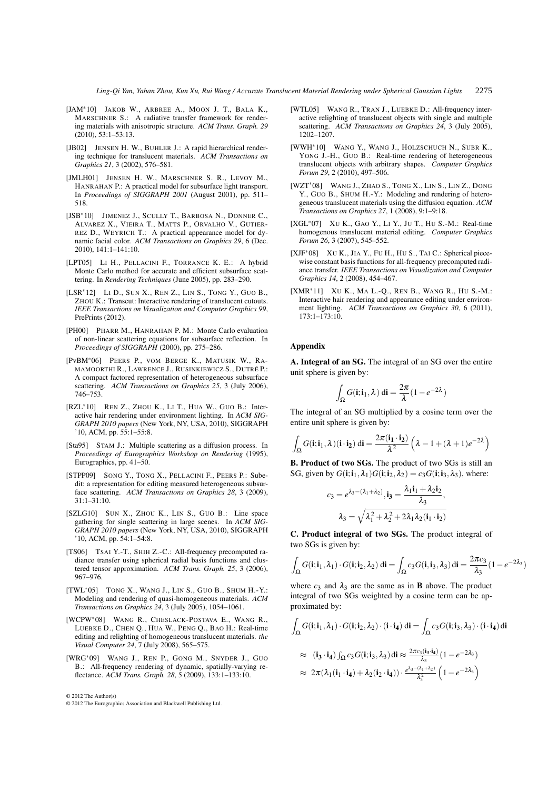<span id="page-8-10"></span>*Ling-Qi Yan, Yahan Zhou, Kun Xu, Rui Wang / Accurate Translucent Material Rendering under Spherical Gaussian Lights* 2275

- <span id="page-8-4"></span>[JAM∗10] JAKOB W., ARBREE A., MOON J. T., BALA K., MARSCHNER S.: A radiative transfer framework for rendering materials with anisotropic structure. *ACM Trans. Graph. 29* (2010), 53:1–53:13.
- <span id="page-8-0"></span>[JB02] JENSEN H. W., BUHLER J.: A rapid hierarchical rendering technique for translucent materials. *ACM Transactions on Graphics 21*, 3 (2002), 576–581.
- <span id="page-8-12"></span>[JMLH01] JENSEN H. W., MARSCHNER S. R., LEVOY M., HANRAHAN P.: A practical model for subsurface light transport. In *Proceedings of SIGGRAPH 2001* (August 2001), pp. 511– 518.
- <span id="page-8-1"></span>[JSB<sup>\*</sup>10] JIMENEZ J., SCULLY T., BARBOSA N., DONNER C., ALVAREZ X., VIEIRA T., MATTS P., ORVALHO V., GUTIER-REZ D., WEYRICH T.: A practical appearance model for dynamic facial color. *ACM Transactions on Graphics 29*, 6 (Dec. 2010), 141:1–141:10.
- <span id="page-8-11"></span>[LPT05] LI H., PELLACINI F., TORRANCE K. E.: A hybrid Monte Carlo method for accurate and efficient subsurface scattering. In *Rendering Techniques* (June 2005), pp. 283–290.
- <span id="page-8-2"></span>[LSR∗12] LI D., SUN X., REN Z., LIN S., TONG Y., GUO B., ZHOU K.: Transcut: Interactive rendering of translucent cutouts. *IEEE Transactions on Visualization and Computer Graphics 99*, PrePrints (2012).
- <span id="page-8-6"></span>[PH00] PHARR M., HANRAHAN P. M.: Monte Carlo evaluation of non-linear scattering equations for subsurface reflection. In *Proceedings of SIGGRAPH* (2000), pp. 275–286.
- <span id="page-8-18"></span>[PvBM∗06] PEERS P., VOM BERGE K., MATUSIK W., RA-MAMOORTHI R., LAWRENCE J., RUSINKIEWICZ S., DUTRÉ P.: A compact factored representation of heterogeneous subsurface scattering. *ACM Transactions on Graphics 25*, 3 (July 2006), 746–753.
- <span id="page-8-3"></span>[RZL∗10] REN Z., ZHOU K., LI T., HUA W., GUO B.: Interactive hair rendering under environment lighting. In *ACM SIG-GRAPH 2010 papers* (New York, NY, USA, 2010), SIGGRAPH '10, ACM, pp. 55:1–55:8.
- <span id="page-8-8"></span>[Sta95] STAM J.: Multiple scattering as a diffusion process. In *Proceedings of Eurographics Workshop on Rendering* (1995), Eurographics, pp. 41–50.
- <span id="page-8-21"></span>[STPP09] SONG Y., TONG X., PELLACINI F., PEERS P.: Subedit: a representation for editing measured heterogeneous subsurface scattering. *ACM Transactions on Graphics 28*, 3 (2009), 31:1–31:10.
- <span id="page-8-16"></span>[SZLG10] SUN X., ZHOU K., LIN S., GUO B.: Line space gathering for single scattering in large scenes. In *ACM SIG-GRAPH 2010 papers* (New York, NY, USA, 2010), SIGGRAPH '10, ACM, pp. 54:1–54:8.
- <span id="page-8-5"></span>[TS06] TSAI Y.-T., SHIH Z.-C.: All-frequency precomputed radiance transfer using spherical radial basis functions and clustered tensor approximation. *ACM Trans. Graph. 25*, 3 (2006), 967–976.
- <span id="page-8-15"></span>[TWL∗05] TONG X., WANG J., LIN S., GUO B., SHUM H.-Y.: Modeling and rendering of quasi-homogeneous materials. *ACM Transactions on Graphics 24*, 3 (July 2005), 1054–1061.
- <span id="page-8-19"></span>[WCPW∗08] WANG R., CHESLACK-POSTAVA E., WANG R., LUEBKE D., CHEN Q., HUA W., PENG Q., BAO H.: Real-time editing and relighting of homogeneous translucent materials. *the Visual Computer 24*, 7 (July 2008), 565–575.
- [WRG∗09] WANG J., REN P., GONG M., SNYDER J., GUO B.: All-frequency rendering of dynamic, spatially-varying reflectance. *ACM Trans. Graph. 28*, 5 (2009), 133:1–133:10.

© 2012 The Author(s)

- <span id="page-8-13"></span><span id="page-8-9"></span>[WTL05] WANG R., TRAN J., LUEBKE D.: All-frequency interactive relighting of translucent objects with single and multiple scattering. *ACM Transactions on Graphics 24*, 3 (July 2005), 1202–1207.
- <span id="page-8-7"></span>[WWH∗10] WANG Y., WANG J., HOLZSCHUCH N., SUBR K., YONG J.-H., GUO B.: Real-time rendering of heterogeneous translucent objects with arbitrary shapes. *Computer Graphics Forum 29*, 2 (2010), 497–506.
- <span id="page-8-14"></span>[WZT∗08] WANG J., ZHAO S., TONG X., LIN S., LIN Z., DONG Y., GUO B., SHUM H.-Y.: Modeling and rendering of heterogeneous translucent materials using the diffusion equation. *ACM Transactions on Graphics 27*, 1 (2008), 9:1–9:18.
- <span id="page-8-20"></span>[XGL∗07] XU K., GAO Y., LI Y., JU T., HU S.-M.: Real-time homogenous translucent material editing. *Computer Graphics Forum 26*, 3 (2007), 545–552.
- <span id="page-8-17"></span>[XJF∗08] XU K., JIA Y., FU H., HU S., TAI C.: Spherical piecewise constant basis functions for all-frequency precomputed radiance transfer. *IEEE Transactions on Visualization and Computer Graphics 14*, 2 (2008), 454–467.
- [XMR<sup>\*</sup>11] XU K., MA L.-Q., REN B., WANG R., HU S.-M.: Interactive hair rendering and appearance editing under environment lighting. *ACM Transactions on Graphics 30*, 6 (2011), 173:1–173:10.

#### Appendix

A. Integral of an SG. The integral of an SG over the entire unit sphere is given by:

$$
\int_{\Omega} G(\mathbf{i}; \mathbf{i}_1, \lambda) \, \mathrm{d}\mathbf{i} = \frac{2\pi}{\lambda} (1 - e^{-2\lambda})
$$

The integral of an SG multiplied by a cosine term over the entire unit sphere is given by:

$$
\int_{\Omega} G(\mathbf{i}; \mathbf{i}_1, \lambda)(\mathbf{i} \cdot \mathbf{i}_2) \, \mathrm{d}\mathbf{i} = \frac{2\pi (\mathbf{i}_1 \cdot \mathbf{i}_2)}{\lambda^2} \left( \lambda - 1 + (\lambda + 1)e^{-2\lambda} \right)
$$

B. Product of two SGs. The product of two SGs is still an SG, given by  $G(i; i_1, \lambda_1)G(i; i_2, \lambda_2) = c_3G(i; i_3, \lambda_3)$ , where:

$$
c_3 = e^{\lambda_3 - (\lambda_1 + \lambda_2)}, \mathbf{i_3} = \frac{\lambda_1 \mathbf{i_1} + \lambda_2 \mathbf{i_2}}{\lambda_3},
$$

$$
\lambda_3 = \sqrt{\lambda_1^2 + \lambda_2^2 + 2\lambda_1 \lambda_2 (\mathbf{i_1} \cdot \mathbf{i_2})}
$$

C. Product integral of two SGs. The product integral of two SGs is given by:

$$
\int_{\Omega} G(\mathbf{i}; \mathbf{i}_1, \lambda_1) \cdot G(\mathbf{i}; \mathbf{i}_2, \lambda_2) \, \mathrm{d}\mathbf{i} = \int_{\Omega} c_3 G(\mathbf{i}, \mathbf{i}_3, \lambda_3) \, \mathrm{d}\mathbf{i} = \frac{2\pi c_3}{\lambda_3} (1 - e^{-2\lambda_3})
$$

where  $c_3$  and  $\lambda_3$  are the same as in **B** above. The product integral of two SGs weighted by a cosine term can be approximated by:

$$
\int_{\Omega} G(\mathbf{i}; \mathbf{i}_1, \lambda_1) \cdot G(\mathbf{i}; \mathbf{i}_2, \lambda_2) \cdot (\mathbf{i} \cdot \mathbf{i}_4) \, \mathrm{d}\mathbf{i} = \int_{\Omega} c_3 G(\mathbf{i}; \mathbf{i}_3, \lambda_3) \cdot (\mathbf{i} \cdot \mathbf{i}_4) \, \mathrm{d}\mathbf{i}
$$
\n
$$
\approx (\mathbf{i}_3 \cdot \mathbf{i}_4) \int_{\Omega} c_3 G(\mathbf{i}; \mathbf{i}_3, \lambda_3) \, \mathrm{d}\mathbf{i} \approx \frac{2\pi c_3 (\mathbf{i}_3 \cdot \mathbf{i}_4)}{\lambda_3} (1 - e^{-2\lambda_3})
$$
\n
$$
\approx 2\pi (\lambda_1 (\mathbf{i}_1 \cdot \mathbf{i}_4) + \lambda_2 (\mathbf{i}_2 \cdot \mathbf{i}_4)) \cdot \frac{e^{\lambda_3 - (\lambda_1 + \lambda_2)}}{\lambda_3^2} (1 - e^{-2\lambda_3})
$$

<sup>© 2012</sup> The Eurographics Association and Blackwell Publishing Ltd.